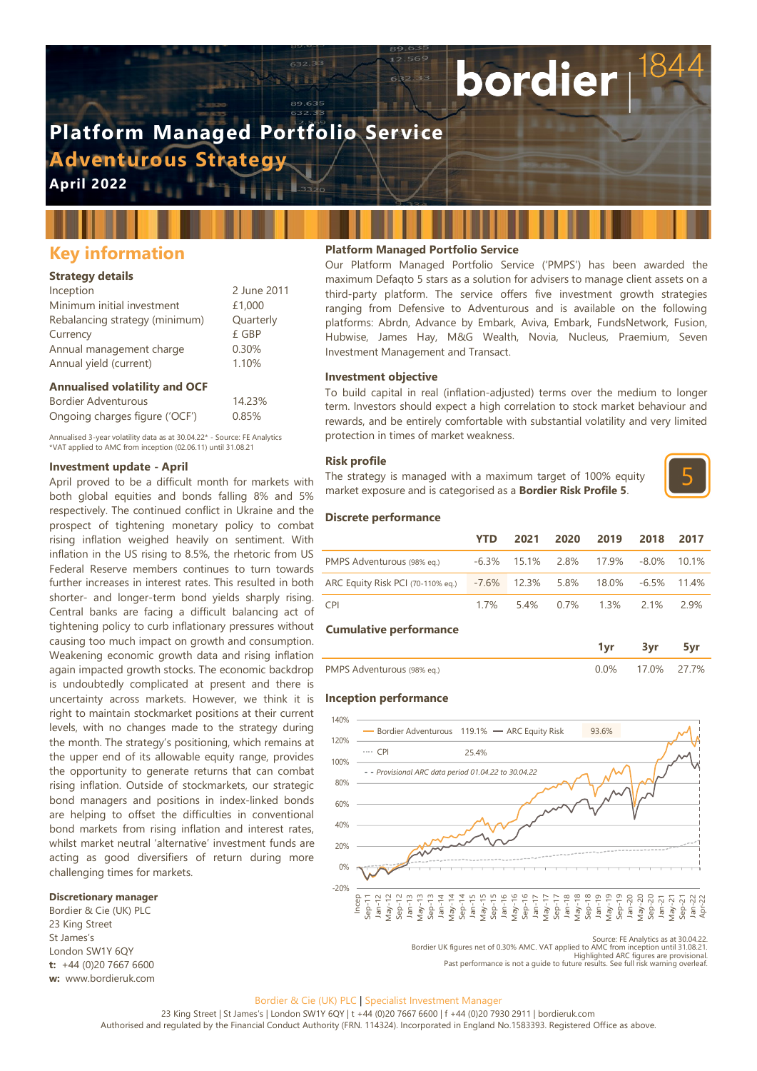# **Platform Managed Portfolio Service Adventurous Strategy**

**April 2022**

# **Key information**

# **Strategy details**

| 2 June 2011 |
|-------------|
| £1,000      |
| Quarterly   |
| £ GBP       |
| 0.30%       |
| 1.10%       |
|             |

#### **Annualised volatility and OCF**

Bordier Adventurous 14.23% Ongoing charges figure ('OCF') 0.85%

Annualised 3-year volatility data as at 30.04.22\* - Source: FE Analytics \*VAT applied to AMC from inception (02.06.11) until 31.08.21

#### **Investment update - April**

April proved to be a difficult month for markets with both global equities and bonds falling 8% and 5% respectively. The continued conflict in Ukraine and the prospect of tightening monetary policy to combat rising inflation weighed heavily on sentiment. With inflation in the US rising to 8.5%, the rhetoric from US Federal Reserve members continues to turn towards further increases in interest rates. This resulted in both shorter- and longer-term bond yields sharply rising. Central banks are facing a difficult balancing act of tightening policy to curb inflationary pressures without causing too much impact on growth and consumption. Weakening economic growth data and rising inflation again impacted growth stocks. The economic backdrop is undoubtedly complicated at present and there is uncertainty across markets. However, we think it is right to maintain stockmarket positions at their current levels, with no changes made to the strategy during the month. The strategy's positioning, which remains at the upper end of its allowable equity range, provides the opportunity to generate returns that can combat rising inflation. Outside of stockmarkets, our strategic bond managers and positions in index-linked bonds are helping to offset the difficulties in conventional bond markets from rising inflation and interest rates, whilst market neutral 'alternative' investment funds are acting as good diversifiers of return during more challenging times for markets.

# **Discretionary manager**

Bordier & Cie (UK) PLC 23 King Street St James's London SW1Y 6QY **t:** +44 (0)20 7667 6600 **w:** www.bordieruk.com

# **Platform Managed Portfolio Service**

Our Platform Managed Portfolio Service ('PMPS') has been awarded the maximum Defaqto 5 stars as a solution for advisers to manage client assets on a third-party platform. The service offers five investment growth strategies ranging from Defensive to Adventurous and is available on the following platforms: Abrdn, Advance by Embark, Aviva, Embark, FundsNetwork, Fusion, Hubwise, James Hay, M&G Wealth, Novia, Nucleus, Praemium, Seven Investment Management and Transact.

bordier

#### **Investment objective**

To build capital in real (inflation-adjusted) terms over the medium to longer term. Investors should expect a high correlation to stock market behaviour and rewards, and be entirely comfortable with substantial volatility and very limited protection in times of market weakness.

#### **Risk profile**

The strategy is managed with a maximum target of 100% equity market exposure and is categorised as a **Bordier Risk Profile 5**.



#### **Discrete performance**

|                                   | YTD      | 2021           | 2020    | 2019    | 2018     | 2017  |
|-----------------------------------|----------|----------------|---------|---------|----------|-------|
| PMPS Adventurous (98% eq.)        | $-6.3\%$ | 15.1%          | 2.8%    | 17.9%   | $-8.0\%$ | 10.1% |
| ARC Equity Risk PCI (70-110% eq.) |          | $-7.6\%$ 12.3% | 5.8%    | 18.0%   | $-6.5\%$ | 11.4% |
| <b>CPI</b>                        | 17%      | 54%            | $0.7\%$ | $1.3\%$ | $2.1\%$  | 2.9%  |
| <b>Cumulative performance</b>     |          |                |         |         |          |       |

| PMPS Adventurous (98% eq.) | 17.0% 27.7% |  |
|----------------------------|-------------|--|

#### **Inception performance**



Source: FE Analytics as at 30.04.22<br>Bordier UK figures net of 0.30% AMC. VAT applied to AMC from inception until 31.08.21<br>Highlighted ARC figures are provisional<br>Past performance is not a quide to future results. See full

Bordier & Cie (UK) PLC | Specialist Investment Manager

23 King Street | St James's | London SW1Y 6QY | t +44 (0)20 7667 6600 | f +44 (0)20 7930 2911 | bordieruk.com

Authorised and regulated by the Financial Conduct Authority (FRN. 114324). Incorporated in England No.1583393. Registered Office as above.